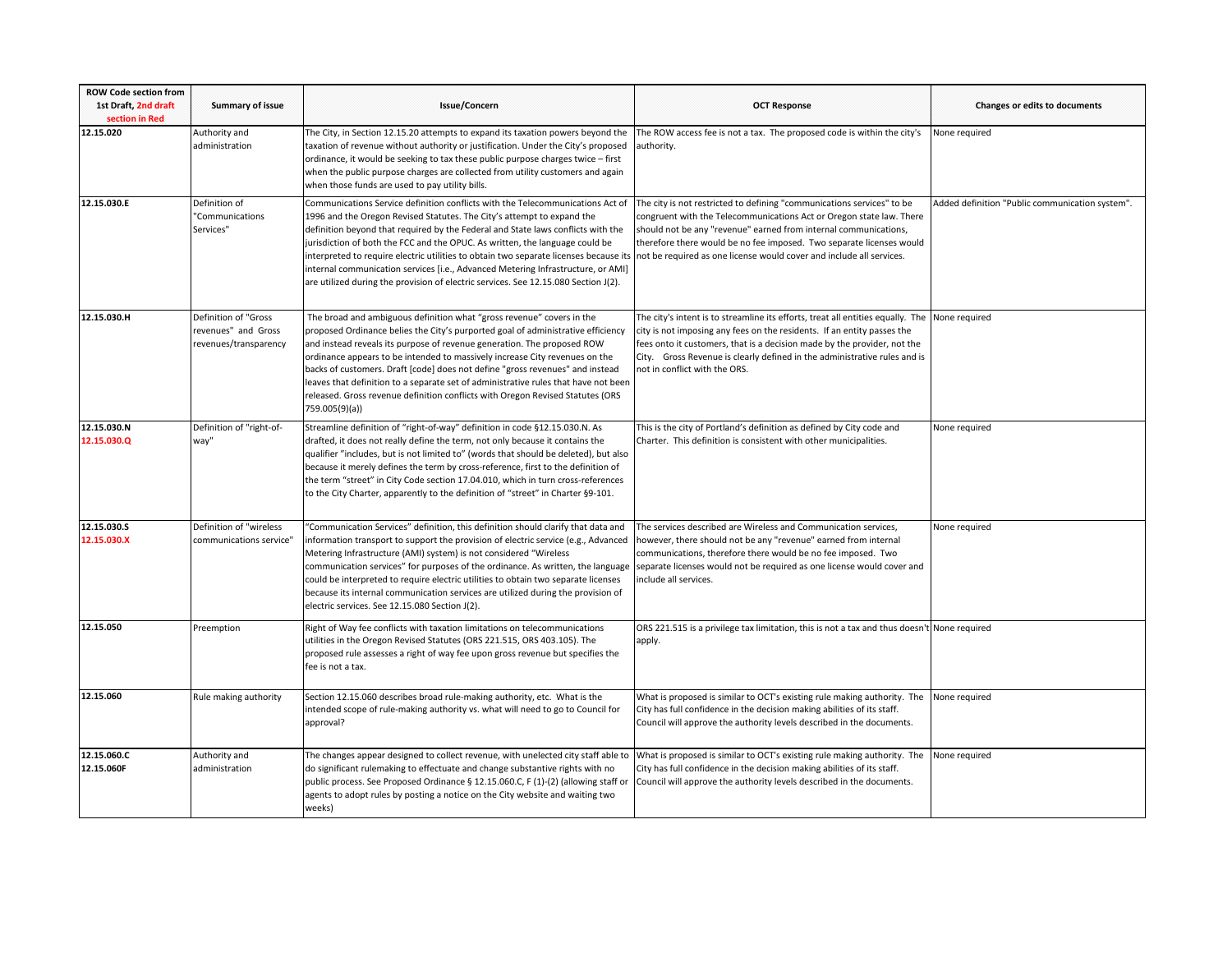| <b>ROW Code section from</b><br>1st Draft, 2nd draft<br>section in Red | <b>Summary of issue</b>                                              | Issue/Concern                                                                                                                                                                                                                                                                                                                                                                                                                                                                                                                                                                                    | <b>OCT Response</b>                                                                                                                                                                                                                                                                                                                                                | <b>Changes or edits to documents</b>            |
|------------------------------------------------------------------------|----------------------------------------------------------------------|--------------------------------------------------------------------------------------------------------------------------------------------------------------------------------------------------------------------------------------------------------------------------------------------------------------------------------------------------------------------------------------------------------------------------------------------------------------------------------------------------------------------------------------------------------------------------------------------------|--------------------------------------------------------------------------------------------------------------------------------------------------------------------------------------------------------------------------------------------------------------------------------------------------------------------------------------------------------------------|-------------------------------------------------|
| 12.15.020                                                              | Authority and<br>administration                                      | The City, in Section 12.15.20 attempts to expand its taxation powers beyond the<br>taxation of revenue without authority or justification. Under the City's proposed<br>ordinance, it would be seeking to tax these public purpose charges twice - first<br>when the public purpose charges are collected from utility customers and again<br>when those funds are used to pay utility bills.                                                                                                                                                                                                    | The ROW access fee is not a tax. The proposed code is within the city's<br>authority.                                                                                                                                                                                                                                                                              | None required                                   |
| 12.15.030.E                                                            | Definition of<br>"Communications<br>Services"                        | Communications Service definition conflicts with the Telecommunications Act of<br>1996 and the Oregon Revised Statutes. The City's attempt to expand the<br>definition beyond that required by the Federal and State laws conflicts with the<br>jurisdiction of both the FCC and the OPUC. As written, the language could be<br>interpreted to require electric utilities to obtain two separate licenses because its<br>internal communication services [i.e., Advanced Metering Infrastructure, or AMI]<br>are utilized during the provision of electric services. See 12.15.080 Section J(2). | The city is not restricted to defining "communications services" to be<br>congruent with the Telecommunications Act or Oregon state law. There<br>should not be any "revenue" earned from internal communications,<br>therefore there would be no fee imposed. Two separate licenses would<br>not be required as one license would cover and include all services. | Added definition "Public communication system". |
| 12.15.030.H                                                            | Definition of "Gross<br>revenues" and Gross<br>revenues/transparency | The broad and ambiguous definition what "gross revenue" covers in the<br>proposed Ordinance belies the City's purported goal of administrative efficiency<br>and instead reveals its purpose of revenue generation. The proposed ROW<br>ordinance appears to be intended to massively increase City revenues on the<br>backs of customers. Draft [code] does not define "gross revenues" and instead<br>leaves that definition to a separate set of administrative rules that have not been<br>released. Gross revenue definition conflicts with Oregon Revised Statutes (ORS<br>759.005(9)(a))  | The city's intent is to streamline its efforts, treat all entities equally. The None required<br>city is not imposing any fees on the residents. If an entity passes the<br>fees onto it customers, that is a decision made by the provider, not the<br>City. Gross Revenue is clearly defined in the administrative rules and is<br>not in conflict with the ORS. |                                                 |
| 12.15.030.N<br>12.15.030.Q                                             | Definition of "right-of-<br>way"                                     | Streamline definition of "right-of-way" definition in code §12.15.030.N. As<br>drafted, it does not really define the term, not only because it contains the<br>qualifier "includes, but is not limited to" (words that should be deleted), but also<br>because it merely defines the term by cross-reference, first to the definition of<br>the term "street" in City Code section 17.04.010, which in turn cross-references<br>to the City Charter, apparently to the definition of "street" in Charter §9-101.                                                                                | This is the city of Portland's definition as defined by City code and<br>Charter. This definition is consistent with other municipalities.                                                                                                                                                                                                                         | None required                                   |
| 12.15.030.S<br>12.15.030.X                                             | Definition of "wireless<br>communications service"                   | "Communication Services" definition, this definition should clarify that data and<br>information transport to support the provision of electric service (e.g., Advanced<br>Metering Infrastructure (AMI) system) is not considered "Wireless<br>communication services" for purposes of the ordinance. As written, the language<br>could be interpreted to require electric utilities to obtain two separate licenses<br>because its internal communication services are utilized during the provision of<br>electric services. See 12.15.080 Section J(2).                                      | The services described are Wireless and Communication services,<br>however, there should not be any "revenue" earned from internal<br>communications, therefore there would be no fee imposed. Two<br>separate licenses would not be required as one license would cover and<br>include all services.                                                              | None required                                   |
| 12.15.050                                                              | Preemption                                                           | Right of Way fee conflicts with taxation limitations on telecommunications<br>utilities in the Oregon Revised Statutes (ORS 221.515, ORS 403.105). The<br>proposed rule assesses a right of way fee upon gross revenue but specifies the<br>fee is not a tax.                                                                                                                                                                                                                                                                                                                                    | ORS 221.515 is a privilege tax limitation, this is not a tax and thus doesn't None required<br>apply.                                                                                                                                                                                                                                                              |                                                 |
| 12.15.060                                                              | Rule making authority                                                | Section 12.15.060 describes broad rule-making authority, etc. What is the<br>intended scope of rule-making authority vs. what will need to go to Council for<br>approval?                                                                                                                                                                                                                                                                                                                                                                                                                        | What is proposed is similar to OCT's existing rule making authority. The<br>City has full confidence in the decision making abilities of its staff.<br>Council will approve the authority levels described in the documents.                                                                                                                                       | None required                                   |
| 12.15.060.C<br>12.15.060F                                              | Authority and<br>administration                                      | The changes appear designed to collect revenue, with unelected city staff able to<br>do significant rulemaking to effectuate and change substantive rights with no<br>public process. See Proposed Ordinance § 12.15.060.C, F (1)-(2) (allowing staff or<br>agents to adopt rules by posting a notice on the City website and waiting two<br>weeks)                                                                                                                                                                                                                                              | What is proposed is similar to OCT's existing rule making authority. The<br>City has full confidence in the decision making abilities of its staff.<br>Council will approve the authority levels described in the documents.                                                                                                                                       | None required                                   |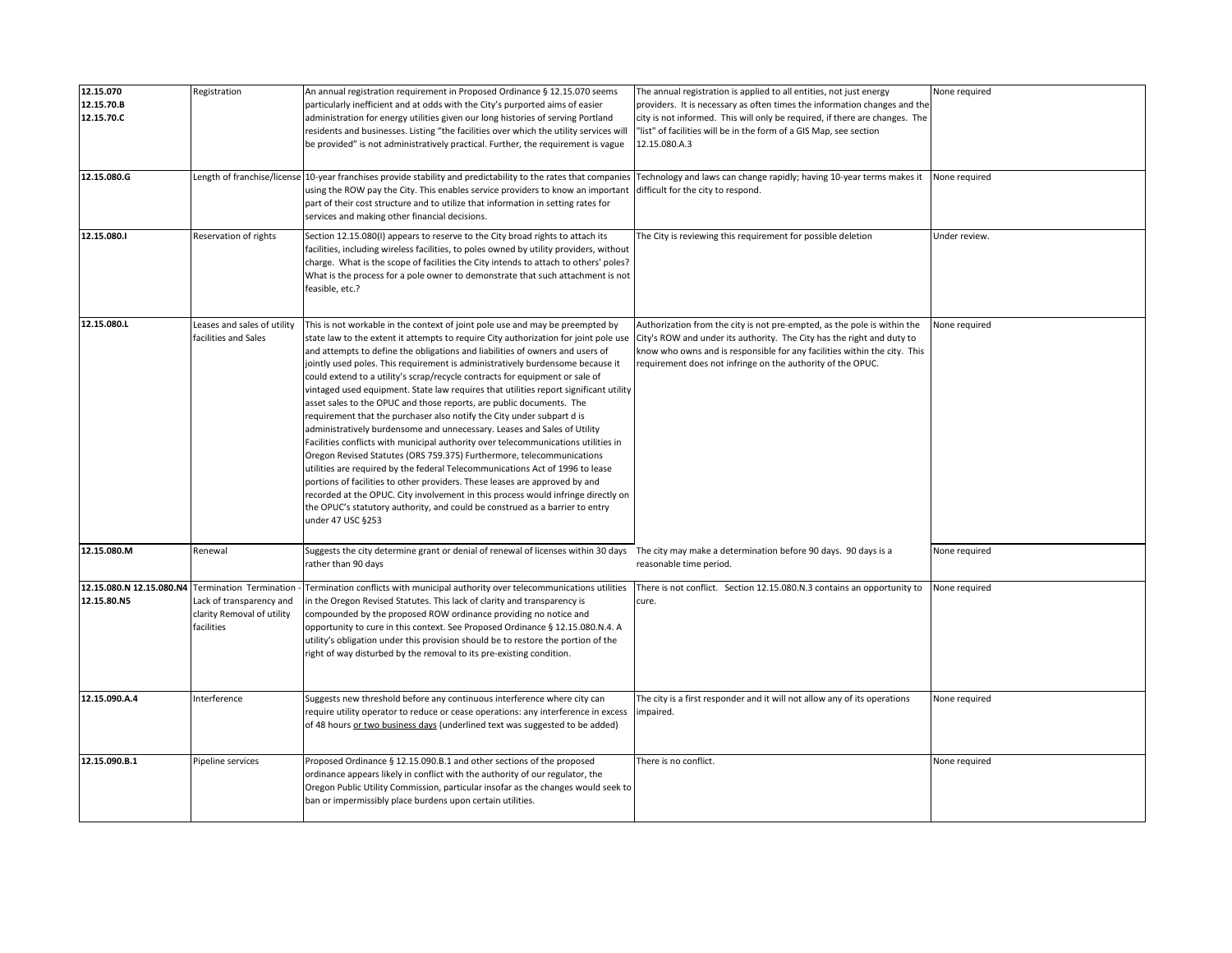| 12.15.070<br>12.15.70.B<br>12.15.70.C   | Registration                                                                                    | An annual registration requirement in Proposed Ordinance § 12.15.070 seems<br>particularly inefficient and at odds with the City's purported aims of easier<br>administration for energy utilities given our long histories of serving Portland<br>residents and businesses. Listing "the facilities over which the utility services will<br>be provided" is not administratively practical. Further, the requirement is vague                                                                                                                                                                                                                                                                                                                                                                                                                                                                                                                                                                                                                                                                                                                                                                                                                                           | The annual registration is applied to all entities, not just energy<br>providers. It is necessary as often times the information changes and the<br>city is not informed. This will only be required, if there are changes. The<br>"list" of facilities will be in the form of a GIS Map, see section<br>12.15.080.A.3 | None required |
|-----------------------------------------|-------------------------------------------------------------------------------------------------|--------------------------------------------------------------------------------------------------------------------------------------------------------------------------------------------------------------------------------------------------------------------------------------------------------------------------------------------------------------------------------------------------------------------------------------------------------------------------------------------------------------------------------------------------------------------------------------------------------------------------------------------------------------------------------------------------------------------------------------------------------------------------------------------------------------------------------------------------------------------------------------------------------------------------------------------------------------------------------------------------------------------------------------------------------------------------------------------------------------------------------------------------------------------------------------------------------------------------------------------------------------------------|------------------------------------------------------------------------------------------------------------------------------------------------------------------------------------------------------------------------------------------------------------------------------------------------------------------------|---------------|
| 12.15.080.G                             |                                                                                                 | Length of franchise/license 10-year franchises provide stability and predictability to the rates that companies<br>using the ROW pay the City. This enables service providers to know an important<br>part of their cost structure and to utilize that information in setting rates for<br>services and making other financial decisions.                                                                                                                                                                                                                                                                                                                                                                                                                                                                                                                                                                                                                                                                                                                                                                                                                                                                                                                                | Technology and laws can change rapidly; having 10-year terms makes it<br>difficult for the city to respond.                                                                                                                                                                                                            | None required |
| 12.15.080.1                             | Reservation of rights                                                                           | Section 12.15.080(I) appears to reserve to the City broad rights to attach its<br>facilities, including wireless facilities, to poles owned by utility providers, without<br>charge. What is the scope of facilities the City intends to attach to others' poles?<br>What is the process for a pole owner to demonstrate that such attachment is not<br>feasible, etc.?                                                                                                                                                                                                                                                                                                                                                                                                                                                                                                                                                                                                                                                                                                                                                                                                                                                                                                  | The City is reviewing this requirement for possible deletion                                                                                                                                                                                                                                                           | Under review. |
| 12.15.080.L                             | Leases and sales of utility<br>facilities and Sales                                             | This is not workable in the context of joint pole use and may be preempted by<br>state law to the extent it attempts to require City authorization for joint pole use<br>and attempts to define the obligations and liabilities of owners and users of<br>jointly used poles. This requirement is administratively burdensome because it<br>could extend to a utility's scrap/recycle contracts for equipment or sale of<br>vintaged used equipment. State law requires that utilities report significant utility<br>asset sales to the OPUC and those reports, are public documents. The<br>requirement that the purchaser also notify the City under subpart d is<br>administratively burdensome and unnecessary. Leases and Sales of Utility<br>Facilities conflicts with municipal authority over telecommunications utilities in<br>Oregon Revised Statutes (ORS 759.375) Furthermore, telecommunications<br>utilities are required by the federal Telecommunications Act of 1996 to lease<br>portions of facilities to other providers. These leases are approved by and<br>recorded at the OPUC. City involvement in this process would infringe directly on<br>the OPUC's statutory authority, and could be construed as a barrier to entry<br>under 47 USC §253 | Authorization from the city is not pre-empted, as the pole is within the<br>City's ROW and under its authority. The City has the right and duty to<br>know who owns and is responsible for any facilities within the city. This<br>requirement does not infringe on the authority of the OPUC.                         | None required |
| 12.15.080.M                             | Renewal                                                                                         | Suggests the city determine grant or denial of renewal of licenses within 30 days The city may make a determination before 90 days. 90 days is a<br>rather than 90 days                                                                                                                                                                                                                                                                                                                                                                                                                                                                                                                                                                                                                                                                                                                                                                                                                                                                                                                                                                                                                                                                                                  | reasonable time period.                                                                                                                                                                                                                                                                                                | None required |
| 12.15.080.N 12.15.080.N4<br>12.15.80.N5 | Termination Termination<br>Lack of transparency and<br>clarity Removal of utility<br>facilities | Termination conflicts with municipal authority over telecommunications utilities<br>in the Oregon Revised Statutes. This lack of clarity and transparency is<br>compounded by the proposed ROW ordinance providing no notice and<br>opportunity to cure in this context. See Proposed Ordinance § 12.15.080.N.4. A<br>utility's obligation under this provision should be to restore the portion of the<br>right of way disturbed by the removal to its pre-existing condition.                                                                                                                                                                                                                                                                                                                                                                                                                                                                                                                                                                                                                                                                                                                                                                                          | There is not conflict. Section 12.15.080.N.3 contains an opportunity to<br>cure.                                                                                                                                                                                                                                       | None required |
| 12.15.090.A.4                           | nterference                                                                                     | Suggests new threshold before any continuous interference where city can<br>require utility operator to reduce or cease operations: any interference in excess<br>of 48 hours or two business days (underlined text was suggested to be added)                                                                                                                                                                                                                                                                                                                                                                                                                                                                                                                                                                                                                                                                                                                                                                                                                                                                                                                                                                                                                           | The city is a first responder and it will not allow any of its operations<br>impaired.                                                                                                                                                                                                                                 | None required |
| 12.15.090.B.1                           | Pipeline services                                                                               | Proposed Ordinance § 12.15.090.B.1 and other sections of the proposed<br>ordinance appears likely in conflict with the authority of our regulator, the<br>Oregon Public Utility Commission, particular insofar as the changes would seek to<br>ban or impermissibly place burdens upon certain utilities.                                                                                                                                                                                                                                                                                                                                                                                                                                                                                                                                                                                                                                                                                                                                                                                                                                                                                                                                                                | There is no conflict.                                                                                                                                                                                                                                                                                                  | None required |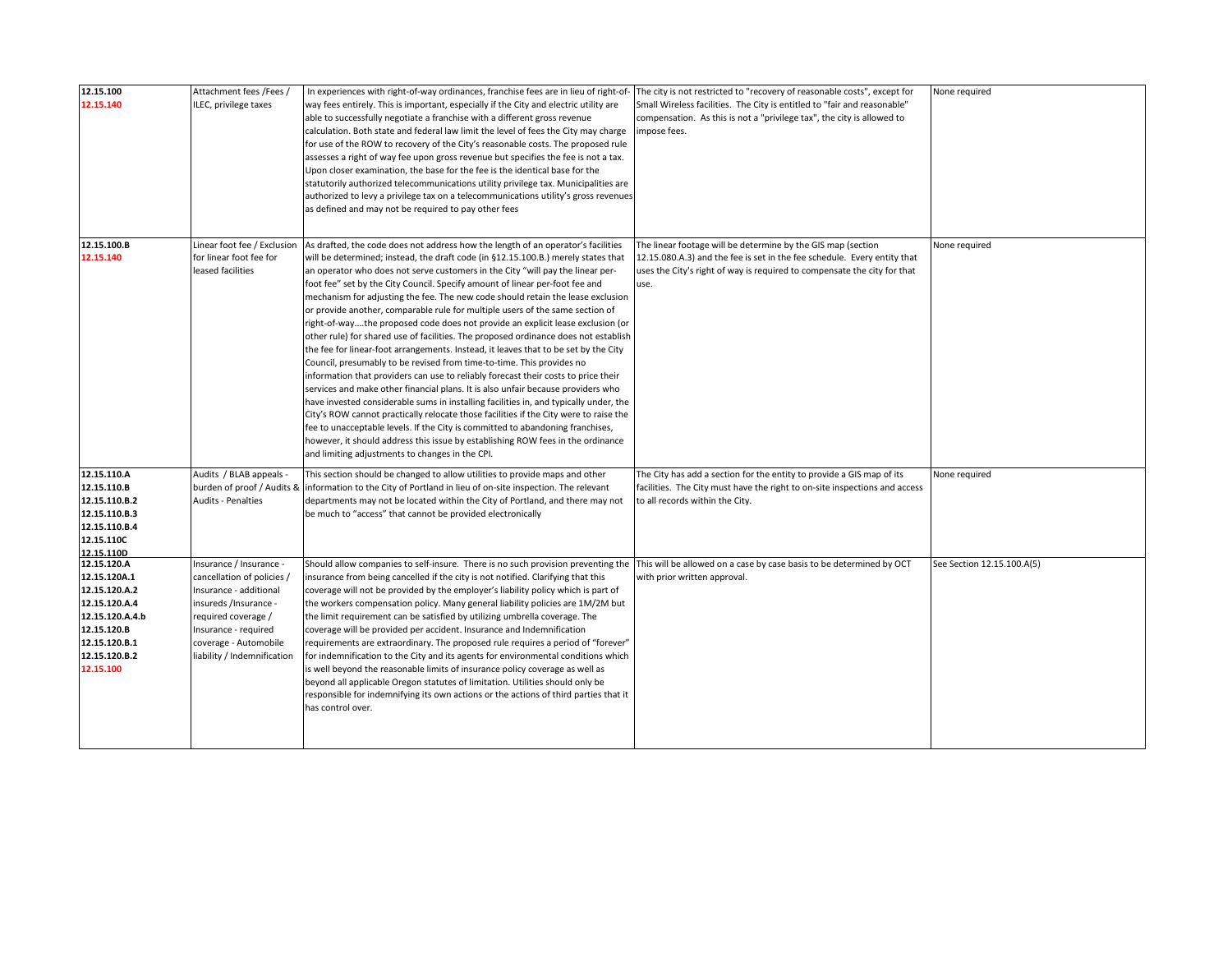| 12.15.100<br>12.15.140                                                                                                                         | Attachment fees /Fees /<br>ILEC, privilege taxes                                                                                                                                                               | In experiences with right-of-way ordinances, franchise fees are in lieu of right-of-<br>way fees entirely. This is important, especially if the City and electric utility are<br>able to successfully negotiate a franchise with a different gross revenue<br>calculation. Both state and federal law limit the level of fees the City may charge<br>for use of the ROW to recovery of the City's reasonable costs. The proposed rule<br>assesses a right of way fee upon gross revenue but specifies the fee is not a tax.<br>Upon closer examination, the base for the fee is the identical base for the<br>statutorily authorized telecommunications utility privilege tax. Municipalities are<br>authorized to levy a privilege tax on a telecommunications utility's gross revenues<br>as defined and may not be required to pay other fees                                                                                                                                                                                                                                                                                                                                                                                                                                                                                                                                                                                         | The city is not restricted to "recovery of reasonable costs", except for<br>Small Wireless facilities. The City is entitled to "fair and reasonable"<br>compensation. As this is not a "privilege tax", the city is allowed to<br>impose fees. | None required              |
|------------------------------------------------------------------------------------------------------------------------------------------------|----------------------------------------------------------------------------------------------------------------------------------------------------------------------------------------------------------------|------------------------------------------------------------------------------------------------------------------------------------------------------------------------------------------------------------------------------------------------------------------------------------------------------------------------------------------------------------------------------------------------------------------------------------------------------------------------------------------------------------------------------------------------------------------------------------------------------------------------------------------------------------------------------------------------------------------------------------------------------------------------------------------------------------------------------------------------------------------------------------------------------------------------------------------------------------------------------------------------------------------------------------------------------------------------------------------------------------------------------------------------------------------------------------------------------------------------------------------------------------------------------------------------------------------------------------------------------------------------------------------------------------------------------------------|------------------------------------------------------------------------------------------------------------------------------------------------------------------------------------------------------------------------------------------------|----------------------------|
| 12.15.100.B<br>12.15.140                                                                                                                       | Linear foot fee / Exclusion<br>for linear foot fee for<br>leased facilities                                                                                                                                    | As drafted, the code does not address how the length of an operator's facilities<br>will be determined; instead, the draft code (in §12.15.100.B.) merely states that<br>an operator who does not serve customers in the City "will pay the linear per-<br>foot fee" set by the City Council. Specify amount of linear per-foot fee and<br>mechanism for adjusting the fee. The new code should retain the lease exclusion<br>or provide another, comparable rule for multiple users of the same section of<br>right-of-waythe proposed code does not provide an explicit lease exclusion (or<br>other rule) for shared use of facilities. The proposed ordinance does not establish<br>the fee for linear-foot arrangements. Instead, it leaves that to be set by the City<br>Council, presumably to be revised from time-to-time. This provides no<br>information that providers can use to reliably forecast their costs to price their<br>services and make other financial plans. It is also unfair because providers who<br>have invested considerable sums in installing facilities in, and typically under, the<br>City's ROW cannot practically relocate those facilities if the City were to raise the<br>fee to unacceptable levels. If the City is committed to abandoning franchises,<br>however, it should address this issue by establishing ROW fees in the ordinance<br>and limiting adjustments to changes in the CPI. | The linear footage will be determine by the GIS map (section<br>12.15.080.A.3) and the fee is set in the fee schedule. Every entity that<br>uses the City's right of way is required to compensate the city for that<br>use.                   | None required              |
| 12.15.110.A<br>12.15.110.B<br>12.15.110.B.2<br>12.15.110.B.3<br>12.15.110.B.4<br>12.15.110C<br>12.15.110D                                      | Audits / BLAB appeals -<br>burden of proof / Audits 8<br><b>Audits - Penalties</b>                                                                                                                             | This section should be changed to allow utilities to provide maps and other<br>information to the City of Portland in lieu of on-site inspection. The relevant<br>departments may not be located within the City of Portland, and there may not<br>be much to "access" that cannot be provided electronically                                                                                                                                                                                                                                                                                                                                                                                                                                                                                                                                                                                                                                                                                                                                                                                                                                                                                                                                                                                                                                                                                                                            | The City has add a section for the entity to provide a GIS map of its<br>facilities. The City must have the right to on-site inspections and access<br>to all records within the City.                                                         | None required              |
| 12.15.120.A<br>12.15.120A.1<br>12.15.120.A.2<br>12.15.120.A.4<br>12.15.120.A.4.b<br>12.15.120.B<br>12.15.120.B.1<br>12.15.120.B.2<br>12.15.100 | nsurance / Insurance -<br>cancellation of policies /<br>Insurance - additional<br>insureds /Insurance -<br>required coverage /<br>Insurance - required<br>coverage - Automobile<br>liability / Indemnification | Should allow companies to self-insure. There is no such provision preventing the<br>insurance from being cancelled if the city is not notified. Clarifying that this<br>coverage will not be provided by the employer's liability policy which is part of<br>the workers compensation policy. Many general liability policies are 1M/2M but<br>the limit requirement can be satisfied by utilizing umbrella coverage. The<br>coverage will be provided per accident. Insurance and Indemnification<br>requirements are extraordinary. The proposed rule requires a period of "forever"<br>for indemnification to the City and its agents for environmental conditions which<br>is well beyond the reasonable limits of insurance policy coverage as well as<br>beyond all applicable Oregon statutes of limitation. Utilities should only be<br>responsible for indemnifying its own actions or the actions of third parties that it<br>has control over.                                                                                                                                                                                                                                                                                                                                                                                                                                                                                | This will be allowed on a case by case basis to be determined by OCT<br>with prior written approval.                                                                                                                                           | See Section 12.15.100.A(5) |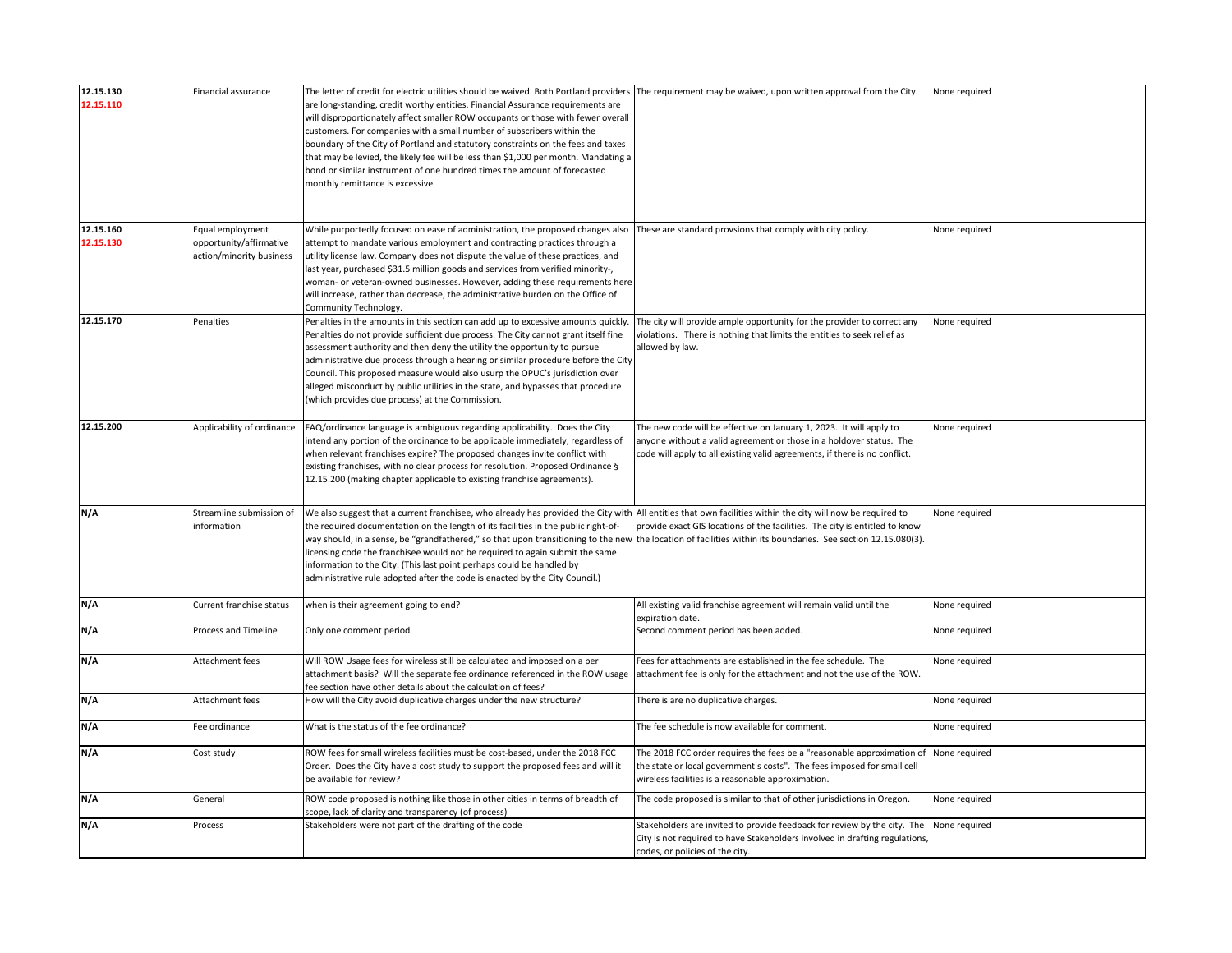| 12.15.130              | Financial assurance                                                     | The letter of credit for electric utilities should be waived. Both Portland providers  The requirement may be waived, upon written approval from the City.                                                                                                                                                                                                                                                                                                                                                                                                                                                                                                |                                                                                                                                                                                                                          | None required |
|------------------------|-------------------------------------------------------------------------|-----------------------------------------------------------------------------------------------------------------------------------------------------------------------------------------------------------------------------------------------------------------------------------------------------------------------------------------------------------------------------------------------------------------------------------------------------------------------------------------------------------------------------------------------------------------------------------------------------------------------------------------------------------|--------------------------------------------------------------------------------------------------------------------------------------------------------------------------------------------------------------------------|---------------|
| 12.15.110              |                                                                         | are long-standing, credit worthy entities. Financial Assurance requirements are<br>will disproportionately affect smaller ROW occupants or those with fewer overall<br>customers. For companies with a small number of subscribers within the<br>boundary of the City of Portland and statutory constraints on the fees and taxes<br>that may be levied, the likely fee will be less than \$1,000 per month. Mandating a<br>bond or similar instrument of one hundred times the amount of forecasted<br>monthly remittance is excessive.                                                                                                                  |                                                                                                                                                                                                                          |               |
|                        |                                                                         |                                                                                                                                                                                                                                                                                                                                                                                                                                                                                                                                                                                                                                                           |                                                                                                                                                                                                                          |               |
| 12.15.160<br>12.15.130 | Equal employment<br>opportunity/affirmative<br>action/minority business | While purportedly focused on ease of administration, the proposed changes also<br>attempt to mandate various employment and contracting practices through a<br>utility license law. Company does not dispute the value of these practices, and<br>last year, purchased \$31.5 million goods and services from verified minority-,<br>woman- or veteran-owned businesses. However, adding these requirements here<br>will increase, rather than decrease, the administrative burden on the Office of<br>Community Technology.                                                                                                                              | These are standard provsions that comply with city policy.                                                                                                                                                               | None required |
| 12.15.170              | Penalties                                                               | Penalties in the amounts in this section can add up to excessive amounts quickly.<br>Penalties do not provide sufficient due process. The City cannot grant itself fine<br>assessment authority and then deny the utility the opportunity to pursue<br>administrative due process through a hearing or similar procedure before the City<br>Council. This proposed measure would also usurp the OPUC's jurisdiction over<br>alleged misconduct by public utilities in the state, and bypasses that procedure<br>(which provides due process) at the Commission.                                                                                           | The city will provide ample opportunity for the provider to correct any<br>violations. There is nothing that limits the entities to seek relief as<br>allowed by law.                                                    | None required |
| 12.15.200              | Applicability of ordinance                                              | FAQ/ordinance language is ambiguous regarding applicability. Does the City<br>intend any portion of the ordinance to be applicable immediately, regardless of<br>when relevant franchises expire? The proposed changes invite conflict with<br>existing franchises, with no clear process for resolution. Proposed Ordinance §<br>12.15.200 (making chapter applicable to existing franchise agreements).                                                                                                                                                                                                                                                 | The new code will be effective on January 1, 2023. It will apply to<br>anyone without a valid agreement or those in a holdover status. The<br>code will apply to all existing valid agreements, if there is no conflict. | None required |
| N/A                    | Streamline submission of<br>information                                 | We also suggest that a current franchisee, who already has provided the City with All entities that own facilities within the city will now be required to<br>the required documentation on the length of its facilities in the public right-of-<br>way should, in a sense, be "grandfathered," so that upon transitioning to the new the location of facilities within its boundaries. See section 12.15.080(3).<br>licensing code the franchisee would not be required to again submit the same<br>information to the City. (This last point perhaps could be handled by<br>administrative rule adopted after the code is enacted by the City Council.) | provide exact GIS locations of the facilities. The city is entitled to know                                                                                                                                              | None required |
| N/A                    | Current franchise status                                                | when is their agreement going to end?                                                                                                                                                                                                                                                                                                                                                                                                                                                                                                                                                                                                                     | All existing valid franchise agreement will remain valid until the<br>expiration date.                                                                                                                                   | None required |
| N/A                    | Process and Timeline                                                    | Only one comment period                                                                                                                                                                                                                                                                                                                                                                                                                                                                                                                                                                                                                                   | Second comment period has been added.                                                                                                                                                                                    | None required |
| N/A                    | Attachment fees                                                         | Will ROW Usage fees for wireless still be calculated and imposed on a per<br>attachment basis? Will the separate fee ordinance referenced in the ROW usage<br>fee section have other details about the calculation of fees?                                                                                                                                                                                                                                                                                                                                                                                                                               | Fees for attachments are established in the fee schedule. The<br>attachment fee is only for the attachment and not the use of the ROW.                                                                                   | None required |
| N/A                    | Attachment fees                                                         | How will the City avoid duplicative charges under the new structure?                                                                                                                                                                                                                                                                                                                                                                                                                                                                                                                                                                                      | There is are no duplicative charges.                                                                                                                                                                                     | None required |
| N/A                    | Fee ordinance                                                           | What is the status of the fee ordinance?                                                                                                                                                                                                                                                                                                                                                                                                                                                                                                                                                                                                                  | The fee schedule is now available for comment.                                                                                                                                                                           | None required |
| N/A                    | Cost study                                                              | ROW fees for small wireless facilities must be cost-based, under the 2018 FCC<br>Order. Does the City have a cost study to support the proposed fees and will it<br>be available for review?                                                                                                                                                                                                                                                                                                                                                                                                                                                              | The 2018 FCC order requires the fees be a "reasonable approximation of<br>the state or local government's costs". The fees imposed for small cell<br>wireless facilities is a reasonable approximation.                  | None required |
| N/A                    | General                                                                 | ROW code proposed is nothing like those in other cities in terms of breadth of<br>scope, lack of clarity and transparency (of process)                                                                                                                                                                                                                                                                                                                                                                                                                                                                                                                    | The code proposed is similar to that of other jurisdictions in Oregon.                                                                                                                                                   | None required |
| N/A                    | Process                                                                 | Stakeholders were not part of the drafting of the code                                                                                                                                                                                                                                                                                                                                                                                                                                                                                                                                                                                                    | Stakeholders are invited to provide feedback for review by the city. The<br>City is not required to have Stakeholders involved in drafting regulations,<br>codes, or policies of the city.                               | None required |